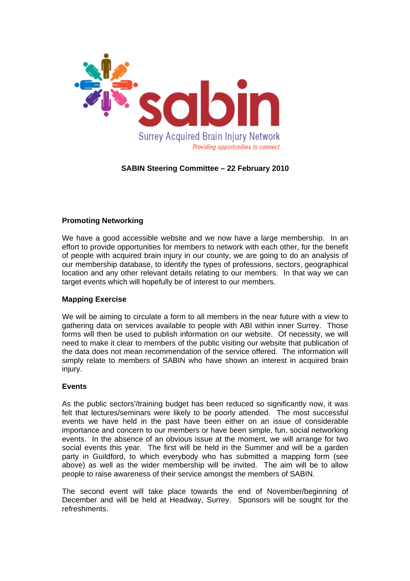

# **SABIN Steering Committee – 22 February 2010**

# **Promoting Networking**

We have a good accessible website and we now have a large membership. In an effort to provide opportunities for members to network with each other, for the benefit of people with acquired brain injury in our county, we are going to do an analysis of our membership database, to identify the types of professions, sectors, geographical location and any other relevant details relating to our members. In that way we can target events which will hopefully be of interest to our members.

### **Mapping Exercise**

We will be aiming to circulate a form to all members in the near future with a view to gathering data on services available to people with ABI within inner Surrey. Those forms will then be used to publish information on our website. Of necessity, we will need to make it clear to members of the public visiting our website that publication of the data does not mean recommendation of the service offered. The information will simply relate to members of SABIN who have shown an interest in acquired brain injury.

### **Events**

As the public sectors'/training budget has been reduced so significantly now, it was felt that lectures/seminars were likely to be poorly attended. The most successful events we have held in the past have been either on an issue of considerable importance and concern to our members or have been simple, fun, social networking events. In the absence of an obvious issue at the moment, we will arrange for two social events this year. The first will be held in the Summer and will be a garden party in Guildford, to which everybody who has submitted a mapping form (see above) as well as the wider membership will be invited. The aim will be to allow people to raise awareness of their service amongst the members of SABIN.

The second event will take place towards the end of November/beginning of December and will be held at Headway, Surrey. Sponsors will be sought for the refreshments.